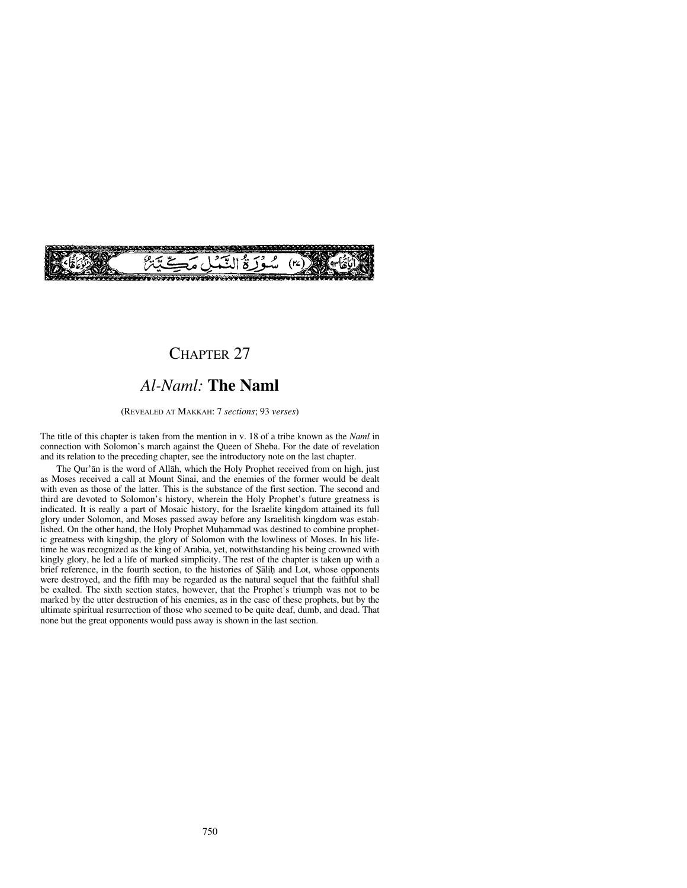

# CHAPTER 27

# *Al-Naml:* **The Naml**

(REVEALED AT MAKKAH: 7 *sections*; 93 *verses*)

The title of this chapter is taken from the mention in v. 18 of a tribe known as the *Naml* in connection with Solomon's march against the Queen of Sheba. For the date of revelation and its relation to the preceding chapter, see the introductory note on the last chapter.

The Qur'ån is the word of Allåh, which the Holy Prophet received from on high, just as Moses received a call at Mount Sinai, and the enemies of the former would be dealt with even as those of the latter. This is the substance of the first section. The second and third are devoted to Solomon's history, wherein the Holy Prophet's future greatness is indicated. It is really a part of Mosaic history, for the Israelite kingdom attained its full glory under Solomon, and Moses passed away before any Israelitish kingdom was established. On the other hand, the Holy Prophet Muḥammad was destined to combine prophetic greatness with kingship, the glory of Solomon with the lowliness of Moses. In his lifetime he was recognized as the king of Arabia, yet, notwithstanding his being crowned with kingly glory, he led a life of marked simplicity. The rest of the chapter is taken up with a brief reference, in the fourth section, to the histories of Salih and Lot, whose opponents were destroyed, and the fifth may be regarded as the natural sequel that the faithful shall be exalted. The sixth section states, however, that the Prophet's triumph was not to be marked by the utter destruction of his enemies, as in the case of these prophets, but by the ultimate spiritual resurrection of those who seemed to be quite deaf, dumb, and dead. That none but the great opponents would pass away is shown in the last section.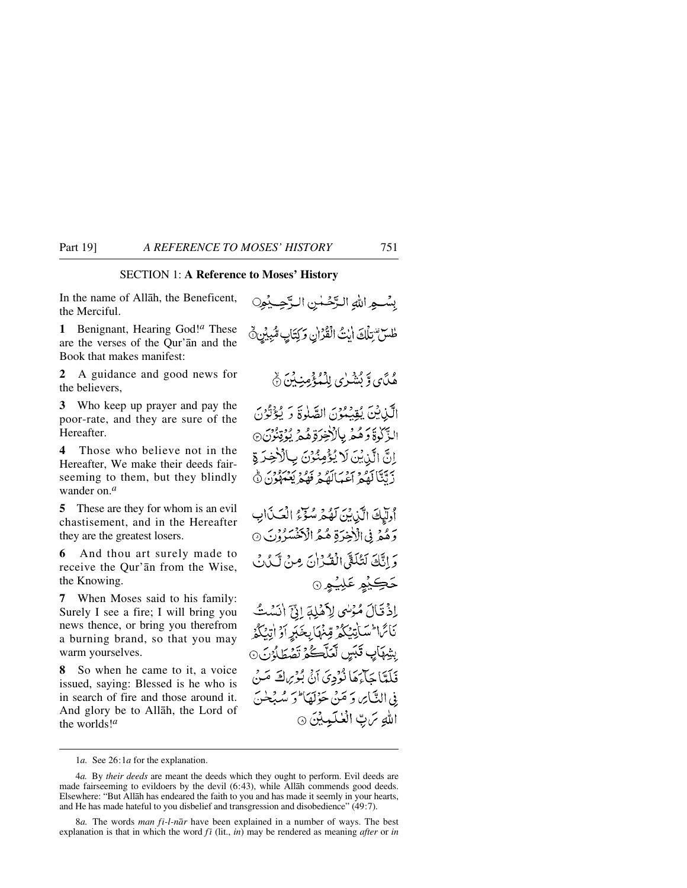# SECTION 1: **A Reference to Moses' History**

In the name of Allåh, the Beneficent, the Merciful.

**1** Benignant, Hearing God!*<sup>a</sup>* These are the verses of the Qur'ån and the Book that makes manifest:

**2** A guidance and good news for the believers,

**3** Who keep up prayer and pay the poor-rate, and they are sure of the Hereafter.

**4** Those who believe not in the Hereafter, We make their deeds fairseeming to them, but they blindly wander on.*<sup>a</sup>*

**5** These are they for whom is an evil chastisement, and in the Hereafter they are the greatest losers.

**6** And thou art surely made to receive the Qur'ån from the Wise, the Knowing.

**7** When Moses said to his family: Surely I see a fire; I will bring you news thence, or bring you therefrom a burning brand, so that you may warm yourselves.

**8** So when he came to it, a voice issued, saying: Blessed is he who is in search of fire and those around it. And glory be to Allåh, the Lord of the worlds!*<sup>a</sup>*

بِسْمِهِ اللهِ الرَّحْمٰنِ الرَّحِمِيْهِيِ طس تزلك ايت القران وكتاب مهبار

هُدَّي وَّ نُشْرُي لِلْمُؤْمِنِينَ ۞

الَّذِينَ يُقِيَمُوْنَ الصَّلْوَةَ وَ يُؤْتُوُنَ الزَّكْرٰةَ وَهُمْ بِالْأَخِرَةِ هُمْ يُؤْتِنُونَ۞ اِنَّ الَّذِيْنَ لَا يُؤْمِنُوْنَ بِالْأَخِرَةِ دَيّتَا كَمُو دِينِ دِينِ دِينِ بِينِ دِينِ دِينِ جِي آي

أُولَّيْكَ الَّذِيْنَ لَهُمْ سُوِّءُ الْعَبْدَابِ دَهُمْ فِي الْأَخِيرَةِ هُمُّ الْأَخْسَدُوْنَ ۞ وَ انَّكَ لَتُلَقَّىٰ الْقُدْ أَنَّ مِنْ آَيَنُ لَ حَڪِيْھِ عَلِيُـهِر@

إِذْقَالَ مُؤْسًى لِأَهْلِهَ إِنِّيَّ انَسُتُ نَائِمَا أَسَاتِيْكُمْ قِنْهَا بِخَبَرِ أَوْ أَتِيْكُمْ رِبِتْمِهَاَيِ قَبَسٍ لَعَلَّكُمْ تَصْطَلُوْنَ ۞ فَلَلَّبَّا جَبَّاءَهَا نُوْدِيَ أَنَّي بُنُوسٍ لَقَه صَنَّ فِي النَّبَايِرِ، وَ مَنْ حَوْلَهَا ۖ وَ سُبُحْنَ اللهِ سَتِ الْعٰلَيِيِينَ ۞

8*a.* The words *man fi-l-når* have been explained in a number of ways. The best explanation is that in which the word  $f\bar{i}$  (lit.,  $\bar{i}n$ ) may be rendered as meaning *after* or  $\bar{i}n$ 

<sup>1</sup>*a.* See 26:1*a* for the explanation.

<sup>4</sup>*a.* By *their deeds* are meant the deeds which they ought to perform. Evil deeds are made fairseeming to evildoers by the devil (6:43), while Allåh commends good deeds. Elsewhere: "But Allåh has endeared the faith to you and has made it seemly in your hearts, and He has made hateful to you disbelief and transgression and disobedience" (49:7).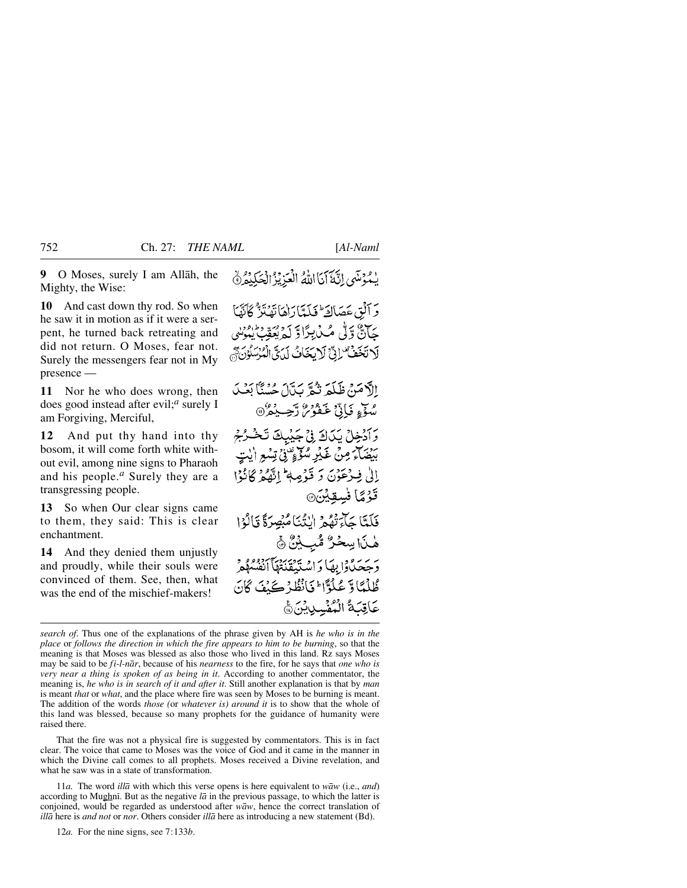**9** O Moses, surely I am Allåh, the Mighty, the Wise:

**10** And cast down thy rod. So when he saw it in motion as if it were a serpent, he turned back retreating and did not return. O Moses, fear not. Surely the messengers fear not in My presence —

**11** Nor he who does wrong, then does good instead after evil;*<sup>a</sup>* surely I am Forgiving, Merciful,

**12** And put thy hand into thy bosom, it will come forth white without evil, among nine signs to Pharaoh and his people.*<sup>a</sup>* Surely they are a transgressing people.

**13** So when Our clear signs came to them, they said: This is clear enchantment.

**14** And they denied them unjustly and proudly, while their souls were convinced of them. See, then, what was the end of the mischief-makers!

لِمُدْمَنِي إِنَّهَّ آيَا اللهُ الْعَزِيْزُ الْحَكِيْدُ ۞

دَ آلْقِ عَصَالَةَ ۖ فَلَعَهَّا رَاهَا نَهُ نَهُ ۚ كَأَنَّهَآ جَأَنَّ وَلَّى مُكْرِبِرًا وَّكْرِيْعَقِّبْ يُبُونِي لَاتَخَفْ ۚ إِنَّ لَابَخَانُ لَدَىَّ الْمُرْسَلُوْنَ ۗ

الآهَنْ ظَلَمَ نُمَّ بَدَّلَ جُسُنَّا بَعْبَ مُوَّءٍ فَإِنَّ غَفْرُ لَّهُ يَعْلَى مَنْ ا وَأَدْخِلْ يَدَكَ فِيْ جَيْبِكَ تَخْرُجُ بَيْضَآءَ مِنْ غَيْرِ مُنْوَءٌ فِيْ تِسْعِ أَيْتِ إِلَىٰ فِيرْعَوْنَ وَ قَوْمِهِ ۚ إِنَّهُمْ كَانُوْا قَوْمًا فْسِقِيْنَ، فَلَدَّا جَآءَ ثَقُمْ النُّنَا مُنْصِرَةً قَالَةُ ا هٰذَا سِحْرٌ مُّبِ بِنٌ ۞

رَحِيحَيْدُوْا بِهَا دَاسْتَدْقَنَةُهَآ أَنْفُسُهُمْ طُلْعًاوَّ عُلُوًّا ۚ فَانْظُرْ كَيْفَ كَانَ عَاقِبَةُ الْمُفْسِدِينَ ﴾

That the fire was not a physical fire is suggested by commentators. This is in fact clear. The voice that came to Moses was the voice of God and it came in the manner in which the Divine call comes to all prophets. Moses received a Divine revelation, and what he saw was in a state of transformation.

11*a.* The word *illå* with which this verse opens is here equivalent to *wåw* (i.e., *and*) according to Mughni. But as the negative  $l\bar{a}$  in the previous passage, to which the latter is conjoined, would be regarded as understood after *wåw*, hence the correct translation of *illå* here is *and not* or *nor*. Others consider *illå* here as introducing a new statement (Bd).

*search of*. Thus one of the explanations of the phrase given by AH is *he who is in the place* or *follows the direction in which the fire appears to him to be burning*, so that the meaning is that Moses was blessed as also those who lived in this land. Rz says Moses may be said to be *fi-l-når*, because of his *nearness* to the fire, for he says that *one who is very near a thing is spoken of as being in it*. According to another commentator, the meaning is, *he who is in search of it and after it*. Still another explanation is that by *man* is meant *that* or *what*, and the place where fire was seen by Moses to be burning is meant. The addition of the words *those (*or *whatever is) around it* is to show that the whole of this land was blessed, because so many prophets for the guidance of humanity were raised there.

<sup>12</sup>*a.* For the nine signs, see 7:133*b*.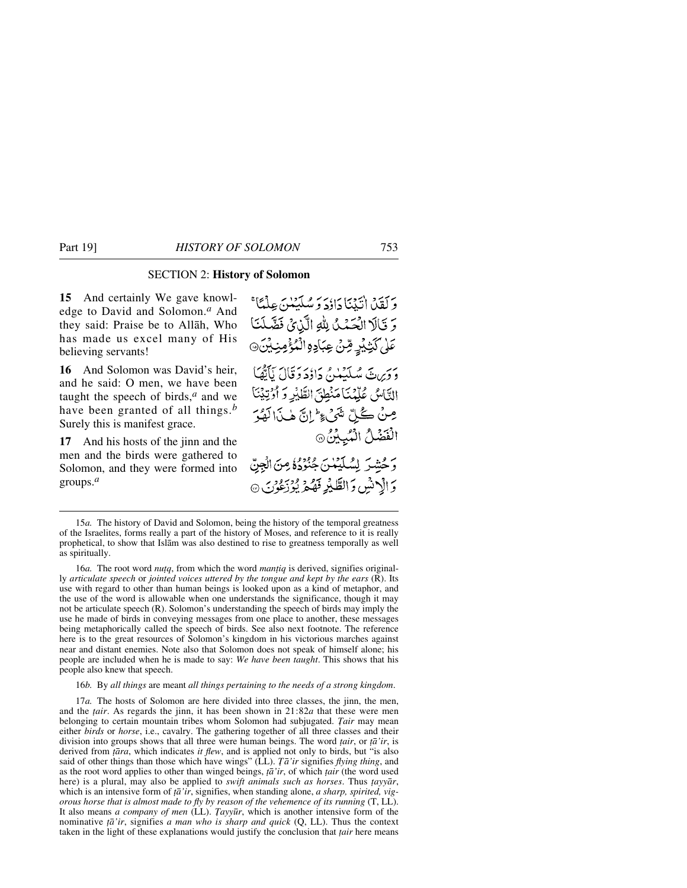## SECTION 2: **History of Solomon**

**15** And certainly We gave knowledge to David and Solomon.*<sup>a</sup>* And they said: Praise be to Allåh, Who has made us excel many of His believing servants!

**16** And Solomon was David's heir, and he said: O men, we have been taught the speech of birds, $<sup>a</sup>$  and we</sup> have been granted of all things.*<sup>b</sup>* Surely this is manifest grace.

**17** And his hosts of the jinn and the men and the birds were gathered to Solomon, and they were formed into groups.*<sup>a</sup>*

وَلَقِدْ انْنَنَادَاؤُدَ وَ سُلَّنِينَ عِلْمًا ۚ وَ تَالَا الْحَمْدُ لِلَّهِ الَّذِينَ فَصَّلَنَا عَلٰى كَثِيْدٍ قِنْ عِبَادِةِ الْمُؤْمِنِيِّنَ@ وَدَبِرِينَ سُلَيْبُلُومُ دَاؤُدَ وَقَالَ نَأَيُّهُاَ التَّاسُ عُلِّمُنَا مَنْطِقَ الطَّيْرِ وَ أَوْتِيْنَا صِنْ كُلِّ شَيْءٍ إِنَّ هٰذَا لَهُوَ الْفَضَّلُ الْمُبِيِّنُ® وَحْشِرَ لِسُلَيْنَ بِمُنْزَدُةً مِنَ الْجِنّ وَالْإِنْسُ وَالطَّيْدِ فَهُمْ يُوزَعُونَ ۞

16*a*. The root word *nutq*, from which the word *mantiq* is derived, signifies originally *articulate speech* or *jointed voices uttered by the tongue and kept by the ears* (R). Its use with regard to other than human beings is looked upon as a kind of metaphor, and the use of the word is allowable when one understands the significance, though it may not be articulate speech (R). Solomon's understanding the speech of birds may imply the use he made of birds in conveying messages from one place to another, these messages being metaphorically called the speech of birds. See also next footnote. The reference here is to the great resources of Solomon's kingdom in his victorious marches against near and distant enemies. Note also that Solomon does not speak of himself alone; his people are included when he is made to say: *We have been taught*. This shows that his people also knew that speech.

#### 16*b.* By *all things* are meant *all things pertaining to the needs of a strong kingdom*.

17*a.* The hosts of Solomon are here divided into three classes, the jinn, the men, and the *∆air*. As regards the jinn, it has been shown in 21:82*a* that these were men belonging to certain mountain tribes whom Solomon had subjugated. *Tair* may mean either *birds* or *horse*, i.e., cavalry. The gathering together of all three classes and their division into groups shows that all three were human beings. The word *∆air*, or *ƌ'ir*, is derived from *ţāra*, which indicates *it flew*, and is applied not only to birds, but "is also said of other things than those which have wings" ( $\overline{L}L$ ). *Tā'ir* signifies *flying thing*, and as the root word applies to other than winged beings, *ƌ'ir*, of which *∆air* (the word used here) is a plural, may also be applied to *swift animals such as horses*. Thus *tayyar*, which is an intensive form of *tā'ir*, signifies, when standing alone, *a sharp, spirited, vigorous horse that is almost made to fly by reason of the vehemence of its running* (T, LL). It also means *a company of men* (LL). *Tayyūr*, which is another intensive form of the nominative *ƌ'ir*, signifies *a man who is sharp and quick* (Q, LL). Thus the context taken in the light of these explanations would justify the conclusion that *tair* here means

<sup>15</sup>*a.* The history of David and Solomon, being the history of the temporal greatness of the Israelites, forms really a part of the history of Moses, and reference to it is really prophetical, to show that Islåm was also destined to rise to greatness temporally as well as spiritually.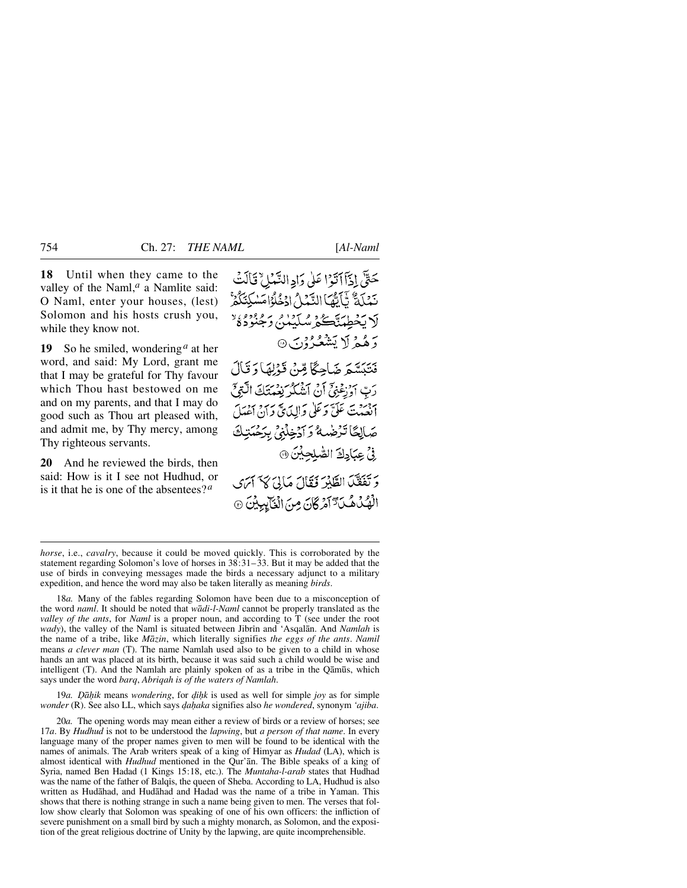**18** Until when they came to the valley of the Naml,<sup>*a*</sup> a Namlite said: O Naml, enter your houses, (lest) Solomon and his hosts crush you, while they know not.

**19** So he smiled, wondering*<sup>a</sup>* at her word, and said: My Lord, grant me that I may be grateful for Thy favour which Thou hast bestowed on me and on my parents, and that I may do good such as Thou art pleased with, and admit me, by Thy mercy, among Thy righteous servants.

**20** And he reviewed the birds, then said: How is it I see not Hudhud, or is it that he is one of the absentees?*<sup>a</sup>*

حَتَّى إِذَآ أَتَوْا عَلَىٰ دَادِ النَّهْدُلِّ قَالَتْ نَعْلَمَةٌ تَأَنَّفُ النَّمْا ُ ادْخُلُوْامَسْكِنَكُمْ ۚ لَا يَحْطِمَنَّكُمْ سُلَيْمْنُ وَجُنُودُهُ وَ هُهُ لَا يَشْعُرُوْنِ ۞

فَتَبَسَّمَ ضَاحِكًا مِّنْ قَوْلِهَا وَقَالَ رَبِّ أَوْزِعْنِيٍّ أَنْ أَمَنْكُمْ نِعْعَدْنَكَ الَّذِيِّ أنغيث عَلَيَّ وَعَلَىٰ وَاللَّهَ فَيْ دَانِي أَعْمَلَ صَالِحًا تَرْضُلُهُ وَ آدْخِلْنِي بِرَحْمَتِكَ فِيٍّ عِبَادِكَ الصَّبِلِجِيْنَ ۞ وَتَفَقَّلَ الطَّيْرَ فَقَالَ مَالِيَ كَ َ آَمَى

الْهُنْ هُدَّ آَمْرِكَانَ مِنَ الْغَايِبِيْنَ @

18*a.* Many of the fables regarding Solomon have been due to a misconception of the word *naml*. It should be noted that *wådi-l-Naml* cannot be properly translated as the *valley of the ants*, for *Naml* is a proper noun, and according to T (see under the root *wady*), the valley of the Naml is situated between Jibrin and 'Asqalan. And *Namlah* is the name of a tribe, like *Måzin*, which literally signifies *the eggs of the ants*. *Namil* means *a clever man* (T). The name Namlah used also to be given to a child in whose hands an ant was placed at its birth, because it was said such a child would be wise and intelligent (T). And the Namlah are plainly spoken of as a tribe in the Qāmūs, which says under the word *barq*, *Abriqah is of the waters of Namlah*.

19*a. Dāḥik* means *wondering*, for *diḥk* is used as well for simple *joy* as for simple *wonder* (R). See also LL, which says *˙a√aka* signifies also *he wondered*, synonym *'ajiba*.

20*a.* The opening words may mean either a review of birds or a review of horses; see 17*a*. By *Hudhud* is not to be understood the *lapwing*, but *a person of that name*. In every language many of the proper names given to men will be found to be identical with the names of animals. The Arab writers speak of a king of Himyar as *Hudad* (LA), which is almost identical with *Hudhud* mentioned in the Qur'ån. The Bible speaks of a king of Syria, named Ben Hadad (1 Kings 15:18, etc.). The *Muntaha-l-arab* states that Hudhad was the name of the father of Balqis, the queen of Sheba. According to LA, Hudhud is also written as Hudåhad, and Hudåhad and Hadad was the name of a tribe in Yaman. This shows that there is nothing strange in such a name being given to men. The verses that follow show clearly that Solomon was speaking of one of his own officers: the infliction of severe punishment on a small bird by such a mighty monarch, as Solomon, and the exposition of the great religious doctrine of Unity by the lapwing, are quite incomprehensible.

*horse*, i.e., *cavalry*, because it could be moved quickly. This is corroborated by the statement regarding Solomon's love of horses in  $38:31-33$ . But it may be added that the use of birds in conveying messages made the birds a necessary adjunct to a military expedition, and hence the word may also be taken literally as meaning *birds*.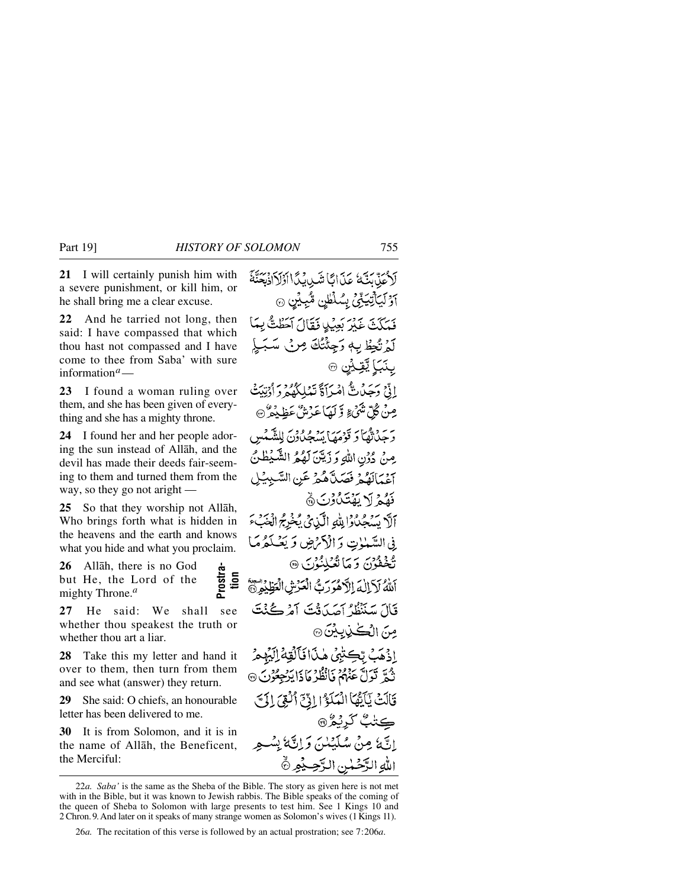**21** I will certainly punish him with a severe punishment, or kill him, or he shall bring me a clear excuse.

**22** And he tarried not long, then said: I have compassed that which thou hast not compassed and I have come to thee from Saba' with sure information*a*—

**23** I found a woman ruling over them, and she has been given of everything and she has a mighty throne.

**24** I found her and her people adoring the sun instead of Allåh, and the devil has made their deeds fair-seeming to them and turned them from the way, so they go not aright —

**25** So that they worship not Allåh, Who brings forth what is hidden in the heavens and the earth and knows what you hide and what you proclaim.

**26** Allåh, there is no God but He, the Lord of the mighty Throne.*<sup>a</sup>*

**27** He said: We shall see whether thou speakest the truth or whether thou art a liar.

**28** Take this my letter and hand it over to them, then turn from them and see what (answer) they return.

**29** She said: O chiefs, an honourable letter has been delivered to me.

**30** It is from Solomon, and it is in the name of Allåh, the Beneficent, the Merciful:

ؘ<br>ڷۯؘؘؘؘؘؘ۠ٚۼڹۣۨڹڐۮ*۫*ػۮؘٳڲٵۺؘڔۑؽڴٲٲۯؘڵۯٲۏؗڹۼۜڹ۠ۜ آَوْ لَيَأْتِيَنِّيُّ بِسُلَطْنٍ مُّبِيِّنٍ ۞ بِرْبَكَتَ عَيْرَ بَعِيْلِ فَقَالَ آَحَظْتُّ بِمَا لَمْرَنْحِظْ بِهِ وَجِئْتُكَ مِنْ سَـ بِنَبَإٍ يَّقِيِّيْنِ ۞ إِذْنِي وَحِينَاتٌ اِمْيَرَاَةً تَبْهَلُكُمْهُو وَ مِنْ ݣَلّْ تْنْمَىٰ ﴿ وَٓ لَمْهَا عَدْمَتْنَ عَظ یر کے دو اس کے دور کا بیٹ گیا گیا۔<br>د جیاتھا کہ قومھا بیٹ جی گون هِنْ دُوْنِ اللَّهِ وَ زَيَّنَ لَهُمُ الشَّيْطُنُ آعْمَالَهُمْ فَصَلَّاهُمْ عَنِ السَّبِيُّ فَقُمْ لَا يَفْتَدُّوْنَ ۞ ألَّ يَسْهَجُدُوْا لِلَّهِ الْكَذِي بِمُخْرِجُ الْمَجَبُّءَ فِي السَّمْلِاتِ وَالْأَكْرَضِ وَيَعْكُمُ مَ تَعْلَّانِ الْمَرْسَلِّسِنَّ الْمَرْسَلِّينَ الْمَرْسَلِّينَ الْمَرْسَلِّينَ الْمَرْكَبِيْنَ (الْمَرْكَبَادَ الْمَرْكَبَادَ الْمَرْكَبَادَ الْمَرْكَبَادَ الْمَرْكَبَادَ الْمَرْكَبَادَ الْمَرْكَبَادَ الْمَرْكَبَادَ the r

<sup>22</sup>*a. Saba'* is the same as the Sheba of the Bible. The story as given here is not met with in the Bible, but it was known to Jewish rabbis. The Bible speaks of the coming of the queen of Sheba to Solomon with large presents to test him. See 1 Kings 10 and 2 Chron.9.And later on it speaks of many strange women as Solomon's wives (1Kings 11).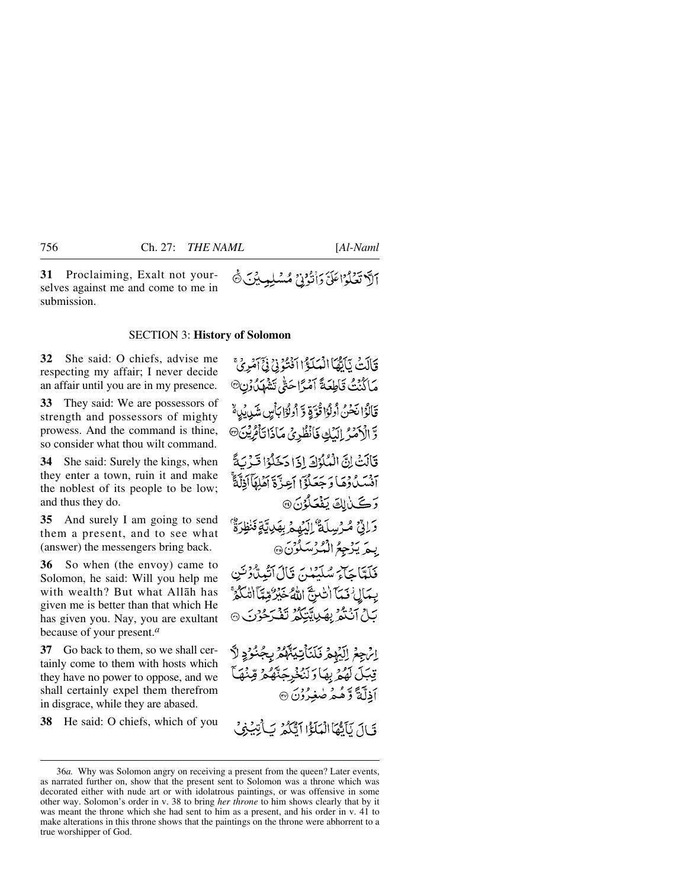**31** Proclaiming, Exalt not yourselves against me and come to me in submission.

#### SECTION 3: **History of Solomon**

**32** She said: O chiefs, advise me respecting my affair; I never decide an affair until you are in my presence.

**33** They said: We are possessors of strength and possessors of mighty prowess. And the command is thine, so consider what thou wilt command.

**34** She said: Surely the kings, when they enter a town, ruin it and make the noblest of its people to be low; and thus they do.

**35** And surely I am going to send them a present, and to see what (answer) the messengers bring back.

**36** So when (the envoy) came to Solomon, he said: Will you help me with wealth? But what Allåh has given me is better than that which He has given you. Nay, you are exultant because of your present.*<sup>a</sup>*

**37** Go back to them, so we shall certainly come to them with hosts which they have no power to oppose, and we shall certainly expel them therefrom in disgrace, while they are abased.

**38** He said: O chiefs, which of you

قَالَتْ يَأْيُّهَا الْمَلَؤُا أَفْتُوُنِّي فِيَّ آَمُرِيٌّ مَاكْنُتُ تَأْطِعَةً آمْرًا حَتَّى تَشْهَدُوْنِ۞ قَالَوُا نَحْنُ أُولُوٗا قُوَّةٍ وَّ أُولُوٗا بِأَسٍ شَي بِبِيهِ مِّ وَّ الْأَهْدُ إِلَيْكِ فَأَنْظُرِيُّ مَاذَا تَأْثِرِيْنَ۞ قَالَتْ إِنَّ الْمُلْوَّكَ إِذَا دَخَلُوْا قَيْرَ بَدَّ آنْسَدُ دُهَا دَ جَعَدُوۡٓ) أَعِدَّةَ أَهۡلِهَآ أَذِلَّةٌ ۚ وَكَيْنِ لِكَ يَفْعَلُوْنَ @ وَإِنِّي مُرْسِلَةٌ إِلَيْهِمْ بِهَدِيَّةٍ فَنْظِرَةٌ ِبِمَرِ يَرْجِعُ الْمُرْسَلُوْنَ ۞ فَلَعَّاجَاً مُسْلَّبُيْنَ قَالَ آتُمِدُّدُتِنِ بِيمَالِ فَيَمَا أَتْ بِنَجَ اللَّهُ خَيْرٌ مِّيماً أَتَبَكَّثُمْ بَيْنَ آَيْنَةُ بِهَيْبِاتِيْنَكُمْ تَفْبَحُوْنَ اِلْرَجِعُ اِلْيَهِمْ فَلَنَأْتِيَةٌ لَهُمُّ بِجُنُوُدٍ لَاَّ قِبَلَ لَهُمُ بِهَا زَنَنْخُرِجَنَّهُمْ قِنْهَ أِذِلَّهَ ۖ وَّهُمْ صٰغِهُ ُوۡنَ ۞ دَّ إِنَّ لَأَنْقَا الْعَلَّةُ إِنَّكَمَّهُ ۚ بِٱبْنِيْنِيْ

أَلاَّ تَعْلُوْاعَلَّ دَأَنُوْيِيْ مُسْلِمِيْنَ ®

<sup>36</sup>*a.* Why was Solomon angry on receiving a present from the queen? Later events, as narrated further on, show that the present sent to Solomon was a throne which was decorated either with nude art or with idolatrous paintings, or was offensive in some other way. Solomon's order in v. 38 to bring *her throne* to him shows clearly that by it was meant the throne which she had sent to him as a present, and his order in v. 41 to make alterations in this throne shows that the paintings on the throne were abhorrent to a true worshipper of God.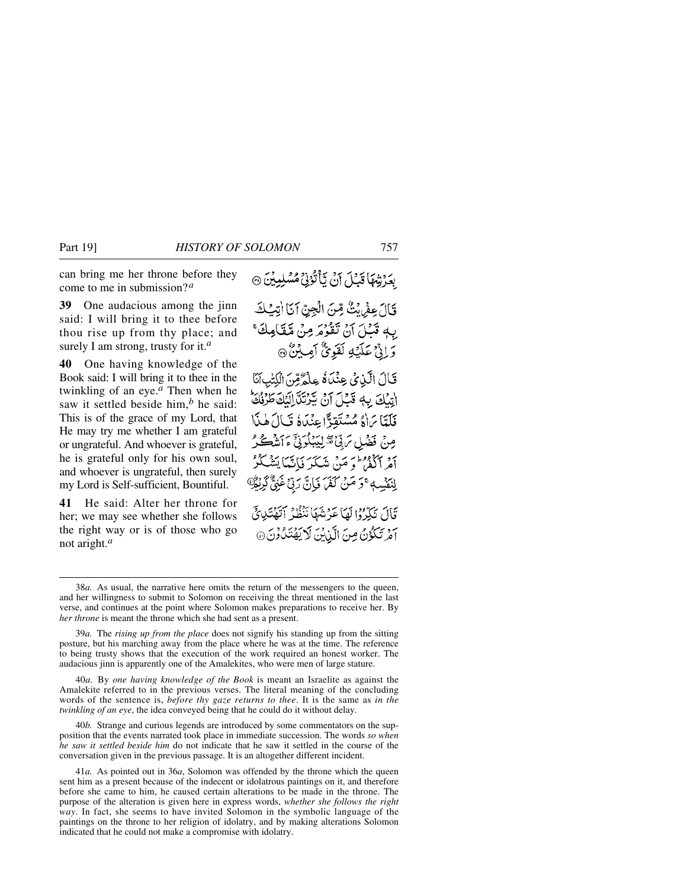can bring me her throne before they come to me in submission?*<sup>a</sup>*

**39** One audacious among the jinn said: I will bring it to thee before thou rise up from thy place; and surely I am strong, trusty for it.*<sup>a</sup>*

**40** One having knowledge of the Book said: I will bring it to thee in the twinkling of an eye.<sup> $\alpha$ </sup> Then when he saw it settled beside him,*<sup>b</sup>* he said: This is of the grace of my Lord, that He may try me whether I am grateful or ungrateful. And whoever is grateful, he is grateful only for his own soul, and whoever is ungrateful, then surely my Lord is Self-sufficient, Bountiful.

**41** He said: Alter her throne for her; we may see whether she follows the right way or is of those who go not aright.*<sup>a</sup>*

بِعَدْتِهُمَا قَبْلَ أَنْ تَأْتُرُوْنَ مُ*سُ*لِبِيْنَ ۞

قَالَ عِفْرِيْتٌ مِّنَ الْجِنِّ آيَا أُتِيْكَ بِهٖ تَبۡلَ أَنۡ تَقۡوُمَ مِنۡ مَّقَامِكَ ۚ وَ إِنِّ عَلَيْهِ لَقَوِيٌّ آمِيْنٌ ۞

قَالَ الَّذِيْ عِنْدَاهُ عِلْمُ وَلَا لِلَّذِينَ الْكِتْبِ أَنَّا التِّلُّفَ بِهِ قَبْلَ آنْ يَرْتَنَّالِكَ طَرْفُكَ فَلَدَّمَا بِرَادَهُ مُسْتَقِدًّا عِنْدَاهُ فَبَالَ هٰذَا مِنْ فَضْلِ يَٰ إِنِّي تَقْرَلِيَبْلُونِيَّ ءَ أَشْكُرُ آمْرِ ٱلْكَفْرُ \* وَ مَنْ شَكَيْرَ فَاتَّبَنَّا يَشْكُرُ لِنَفْسِهِ ۚ وَ مَنْ كَفَرَ ۚ فَإِنَّ رَبِّيۡ غَنِيٌّ كَرِيْدٍ قَالَ نَكَدُّوْا لَعَا عَدْشَهَا نَنْظُهُ ٱتَفْتَدِيقَ آمْرِ تَكْوُنُ مِنَ الَّذِينَ لَا يَهْتَدُوْنَ @

40*a.* By *one having knowledge of the Book* is meant an Israelite as against the Amalekite referred to in the previous verses. The literal meaning of the concluding words of the sentence is, *before thy gaze returns to thee*. It is the same as *in the twinkling of an eye*, the idea conveyed being that he could do it without delay.

40*b.* Strange and curious legends are introduced by some commentators on the supposition that the events narrated took place in immediate succession. The words *so when he saw it settled beside him* do not indicate that he saw it settled in the course of the conversation given in the previous passage. It is an altogether different incident.

<sup>38</sup>*a.* As usual, the narrative here omits the return of the messengers to the queen, and her willingness to submit to Solomon on receiving the threat mentioned in the last verse, and continues at the point where Solomon makes preparations to receive her. By *her throne* is meant the throne which she had sent as a present.

<sup>39</sup>*a.* The *rising up from the place* does not signify his standing up from the sitting posture, but his marching away from the place where he was at the time. The reference to being trusty shows that the execution of the work required an honest worker. The audacious jinn is apparently one of the Amalekites, who were men of large stature.

<sup>41</sup>*a.* As pointed out in 36*a*, Solomon was offended by the throne which the queen sent him as a present because of the indecent or idolatrous paintings on it, and therefore before she came to him, he caused certain alterations to be made in the throne. The purpose of the alteration is given here in express words, *whether she follows the right way*. In fact, she seems to have invited Solomon in the symbolic language of the paintings on the throne to her religion of idolatry, and by making alterations Solomon indicated that he could not make a compromise with idolatry.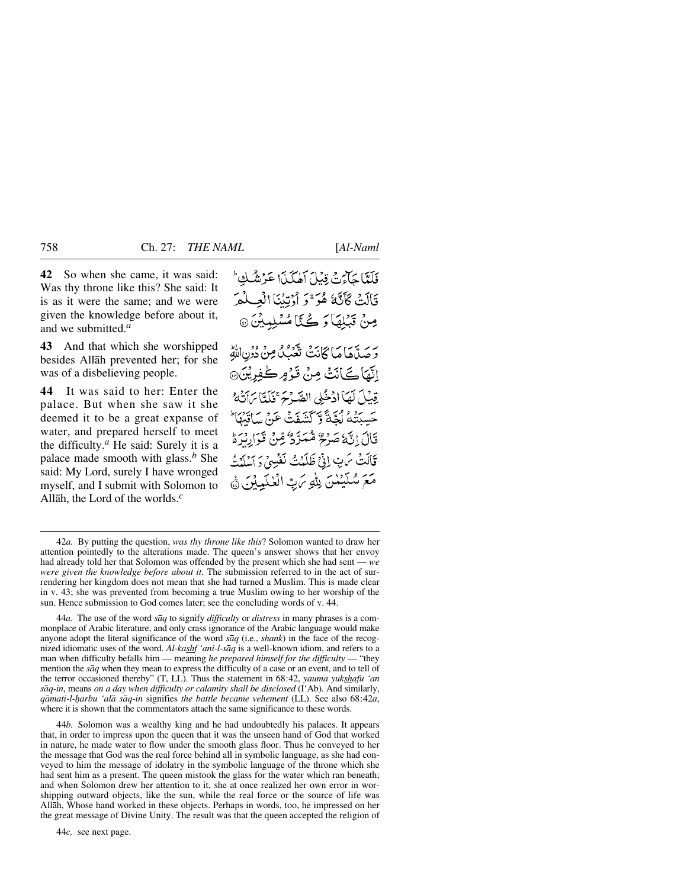**42** So when she came, it was said: Was thy throne like this? She said: It is as it were the same; and we were given the knowledge before about it, and we submitted.*<sup>a</sup>*

**43** And that which she worshipped besides Allåh prevented her; for she was of a disbelieving people.

**44** It was said to her: Enter the palace. But when she saw it she deemed it to be a great expanse of water, and prepared herself to meet the difficulty.*<sup>a</sup>* He said: Surely it is a palace made smooth with glass.*<sup>b</sup>* She said: My Lord, surely I have wronged myself, and I submit with Solomon to Allåh, the Lord of the worlds.*<sup>c</sup>*

فَلَتَّاجَاءَتْ قِيْلَ أَهٰلَكْنَا عَرْشُكِ ۖ قَالَتْ كَأَنَّهُ هُوَ ۚ وَ أَرْتِنُنَا الْعِبْلُمْ مِنْ قَبْلِهَا وَ كُتَّا مُسْلِمِيْنَ ۞

رَ سَدَّمَا مَا كَانَتْ تَعَمِّكُ مِنْ دُونِ اللَّهِ اِنَّهَاڪَانَتْ مِنْ قَرْمِرڪْفِرِيْنَ۞ قِيْلَ لَهَا ادْخُلِي الصَّرْحَ ۚ فَلَمَّا مَاَتَّهُ حَسِبَتْهُ لُعَّةً وَ"كَتَيْفَتْ عَنْ سَاقَتْنَا \* قَالَ انَّهُ صَدْبُحٌ مُّعَدَّدٌ مِّنْ قَوَارِنْهَ هُ قَالَتْ يَرِبِّ إِنِّيٍّ ظَلَمْتُ نَفْسِيٌ وَآسْلَمْتُ مَعَ سُكَيْمْنَ لِلَّهِ يَاتِ الْعٰلَمِيْدَ".

44*a.* The use of the word *såq* to signify *difficulty* or *distress* in many phrases is a commonplace of Arabic literature, and only crass ignorance of the Arabic language would make anyone adopt the literal significance of the word *såq* (i.e., *shank*) in the face of the recognized idiomatic uses of the word. *Al-kashf 'ani-l-såq* is a well-known idiom, and refers to a man when difficulty befalls him — meaning *he prepared himself for the difficulty* — "they mention the *såq* when they mean to express the difficulty of a case or an event, and to tell of the terror occasioned thereby" (T, LL). Thus the statement in 68:42, *yauma yukshafu 'an såq-in*, means *on a day when difficulty or calamity shall be disclosed* (I'Ab). And similarly, *qåmati-l-√arbu 'alå såq-in* signifies *the battle became vehement* (LL). See also 68:42*a*, where it is shown that the commentators attach the same significance to these words.

44*b.* Solomon was a wealthy king and he had undoubtedly his palaces. It appears that, in order to impress upon the queen that it was the unseen hand of God that worked in nature, he made water to flow under the smooth glass floor. Thus he conveyed to her the message that God was the real force behind all in symbolic language, as she had conveyed to him the message of idolatry in the symbolic language of the throne which she had sent him as a present. The queen mistook the glass for the water which ran beneath; and when Solomon drew her attention to it, she at once realized her own error in worshipping outward objects, like the sun, while the real force or the source of life was Allåh, Whose hand worked in these objects. Perhaps in words, too, he impressed on her the great message of Divine Unity. The result was that the queen accepted the religion of

44*c,* see next page.

<sup>42</sup>*a.* By putting the question, *was thy throne like this*? Solomon wanted to draw her attention pointedly to the alterations made. The queen's answer shows that her envoy had already told her that Solomon was offended by the present which she had sent — *we were given the knowledge before about it*. The submission referred to in the act of surrendering her kingdom does not mean that she had turned a Muslim. This is made clear in v. 43; she was prevented from becoming a true Muslim owing to her worship of the sun. Hence submission to God comes later; see the concluding words of v. 44.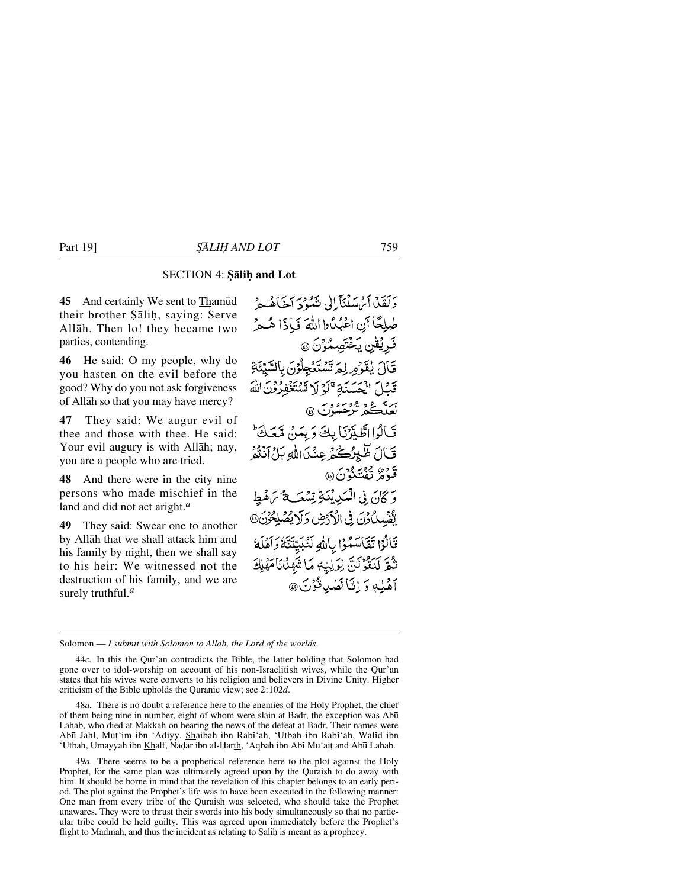## SECTION 4: **Şālih and Lot**

**45** And certainly We sent to Thamūd their brother Salih, saying: Serve Allåh. Then lo! they became two parties, contending.

**46** He said: O my people, why do you hasten on the evil before the good? Why do you not ask forgiveness of Allåh so that you may have mercy?

**47** They said: We augur evil of thee and those with thee. He said: Your evil augury is with Allåh; nay, you are a people who are tried.

**48** And there were in the city nine persons who made mischief in the land and did not act aright.*<sup>a</sup>*

**49** They said: Swear one to another by Allåh that we shall attack him and his family by night, then we shall say to his heir: We witnessed not the destruction of his family, and we are surely truthful.*<sup>a</sup>*

وَلَقَدْنَا أَمْ يَسْلَنَآ إِلَى شَعُودِيَ يَجْاهُبِهِمْ صٰلِحًا آنِ اعْبُدُوا اللَّهَ فَبِإِذَا هُـعْهُ فَرِيْقِين يَخْتَصِمُوْنَ @ قَالَ يُقَوْمِ لِمَرتَسْتَعْجِلُوْنَ بِالسَّيِّئَةِ قَدَلَ الْحَسَنَةِ ۚ لَوْ لَا تَسْتَذْفِرُوْنَ اللَّهَ لَعَلَّكُمْ تُرْحَمُونَ ۞ تَالَٰوٗا اَطَلَّہٗٓئِکَا بِكَ وَ بِمَنْ مَّعَلُّےٗٓٓ قَالَ طَّيِرُكُمُ عِنْدَاللَّهِ بَلْ آنْتُمْ قَوْمٌ تَفْتَنُوْنَ۞ وَكَانَ فِي الْمَكِينِيَّةِ تِسْعَبِ ثَمَّ سَهْطِ يَّقْسِلُ وَنَ فِي الْأَرْضِ وَلَا يُصْلِحُونَ@ قَالُوْا تَقَاسَمُوْا بِاللَّهِ لَنُبَيِّنَنَّهُ وَأَهْلَهُ تْكُرَّ لَنَقْوَلَنَّ لِوَلِيَّهِ مَا شَهْدُنَامَهُلِكَ آهُلِهِ دَ إِنَّا لَّهٰلِ قُوْنَ ۞

Solomon — *I submit with Solomon to Allåh, the Lord of the worlds*.

44*c.* In this the Qur'ån contradicts the Bible, the latter holding that Solomon had gone over to idol-worship on account of his non-Israelitish wives, while the Qur'ån states that his wives were converts to his religion and believers in Divine Unity. Higher criticism of the Bible upholds the Quranic view; see 2:102*d*.

48*a.* There is no doubt a reference here to the enemies of the Holy Prophet, the chief of them being nine in number, eight of whom were slain at Badr, the exception was Abū Lahab, who died at Makkah on hearing the news of the defeat at Badr. Their names were Abū Jahl, Muț'im ibn 'Adiyy, Shaibah ibn Rabi'ah, 'Utbah ibn Rabi'ah, Walid ibn 'Utbah, Umayyah ibn Khalf, Nadar ibn al-Harth, 'Aqbah ibn Abī Mu'ait and Abū Lahab.

49*a.* There seems to be a prophetical reference here to the plot against the Holy Prophet, for the same plan was ultimately agreed upon by the Quraish to do away with him. It should be borne in mind that the revelation of this chapter belongs to an early period. The plot against the Prophet's life was to have been executed in the following manner: One man from every tribe of the Quraish was selected, who should take the Prophet unawares. They were to thrust their swords into his body simultaneously so that no particular tribe could be held guilty. This was agreed upon immediately before the Prophet's flight to Madinah, and thus the incident as relating to Salih is meant as a prophecy.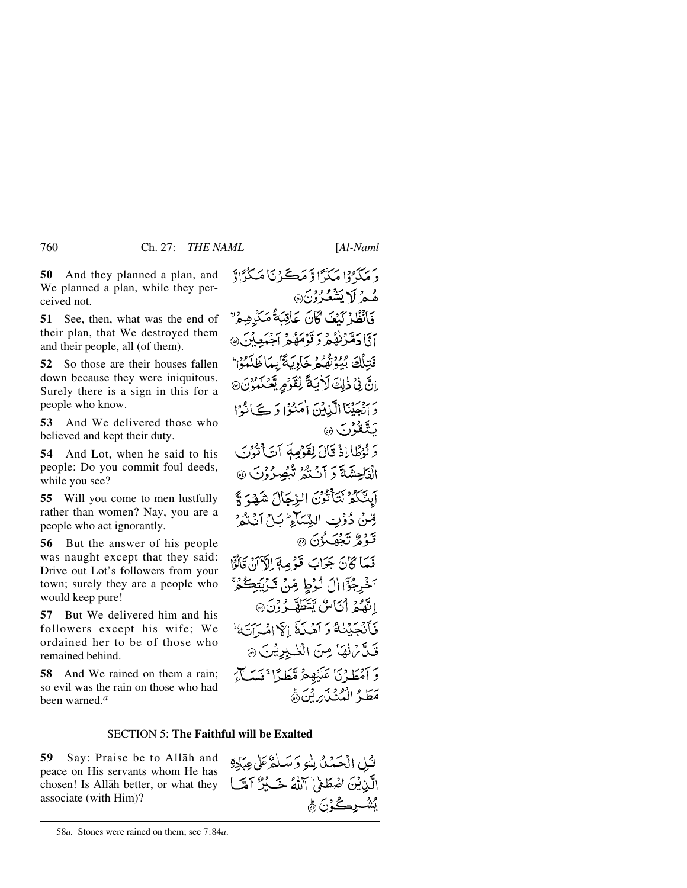**50** And they planned a plan, and We planned a plan, while they perceived not.

**51** See, then, what was the end of their plan, that We destroyed them and their people, all (of them).

**52** So those are their houses fallen down because they were iniquitous. Surely there is a sign in this for a people who know.

**53** And We delivered those who believed and kept their duty.

**54** And Lot, when he said to his people: Do you commit foul deeds, while you see?

**55** Will you come to men lustfully rather than women? Nay, you are a people who act ignorantly.

**56** But the answer of his people was naught except that they said: Drive out Lot's followers from your town; surely they are a people who would keep pure!

**57** But We delivered him and his followers except his wife; We ordained her to be of those who remained behind.

**58** And We rained on them a rain; so evil was the rain on those who had been warned.*<sup>a</sup>*

دَ مَكَدُّوْا مَكْنُرًا وَّ مَڪَّرْ يَا مَكْنُرَادَّ هُمْ لَا يَشْعُدُونَ۞ فَأَنْظُرُ كَنْفَ كَانَ عَاقِبَهُ مَكْرِهِيمُ " مَّ مَدَّنْ لِمُكْرِدَ وَدَوْمَ مَدَيْدِينَ ۞<br>أَنَّا دَمَّرْ لِمُكْرِدَ قَوْمَهُمْ أَجْهَٰدِينَ ۞ فَتِبْلُكَ بِمُؤْتَّهُمْ خَادِيَةً بِيمَاظَلَمُوْا إِنَّ فِيْ ذٰلِكَ لَأَيَةً لِّقَوْمٍ يَّعْكَمُوْنَ۞ بِ إِنَّ مِنْ الَّيْانِيّ اٰ مَنْهُ! دَ ٤ ] نُهُ! پَنَنْقُوْنَ ۞ وَلَوْظَالِهِۚ قَالَ لِقَوْمِهِ ۚ آَتَ أَتُوْنَ الْفَاحِشَةَ وَ أَنْ نُدْرٌ تُّبُصِرُوْنَ ۞ أَبِتَكُمُ لَتَأْتُونَ الدِّجَالَ شَهْرَجَ صِّنْ دُوۡنِ البِّسَآءِ ۖ سَلِّ اَنۡتَمُهُۚ قَدْرٌ نَجْهَلُوْنَ ۞ فَعَاكَانَ جَوَابَ قَوْمِهَ الْآآنُ قَالَوْٓا آخُرِجُوْٓا الَ لُوْطٍ مِّنْ قَرْيَتِكُمْ ا تَّهُمُّ أَنَاسٌ يَتَطَهَّدُوْنَ @ فَأَنْجَبْنِكُ وَ أَهْلَكَ إِلَا أَمْ آَتَهَ لَا قَلَّ ثَمَّ نَهَا مِنَ الْكْبِرِيْنَ ۞ دَ أَمْطَىٰ نَا عَلَيْهِمْ مَّطَدًّا ۚ فَسَبِّ مَطَيْرُ الْمُنْكَدَىٰنَ هَيْ

# SECTION 5: **The Faithful will be Exalted**

**59** Say: Praise be to Allåh and peace on His servants whom He has chosen! Is Allåh better, or what they associate (with Him)?

فنُل الْجَيْدِبُي لِلَّهِ وَ سَبْلَةٌ عَلَى عِبَادِدٍ الَّذِيْنَ اصْطَعْيٰ ٱللَّهُ حَبِيْرٌ آمَّا يُشْبِرِكُوْنَ ﴾

<sup>58</sup>*a.* Stones were rained on them; see 7:84*a*.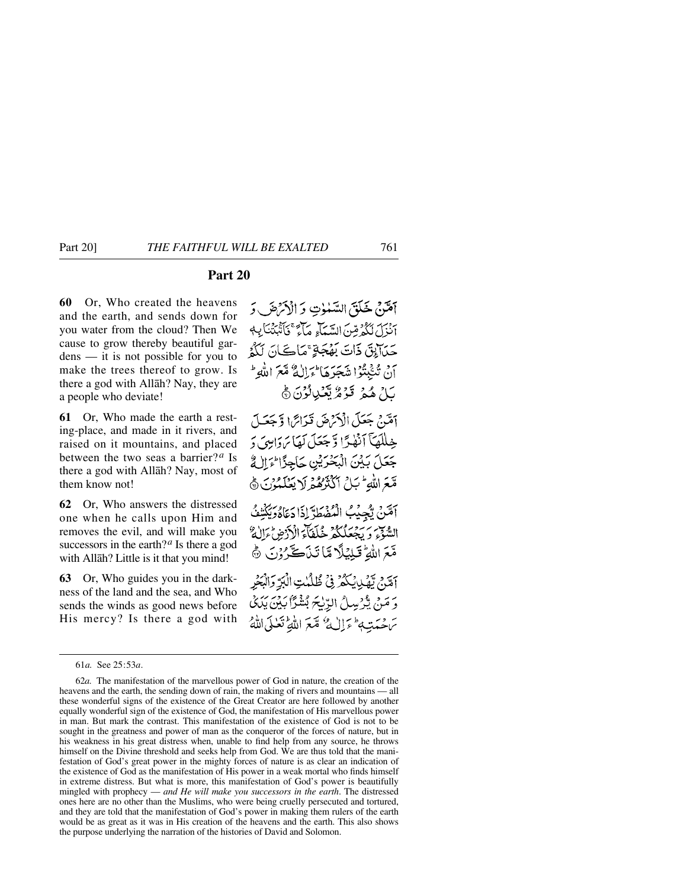# **Part 20**

**60** Or, Who created the heavens and the earth, and sends down for you water from the cloud? Then We cause to grow thereby beautiful gardens — it is not possible for you to make the trees thereof to grow. Is there a god with Allåh? Nay, they are a people who deviate!

**61** Or, Who made the earth a resting-place, and made in it rivers, and raised on it mountains, and placed between the two seas a barrier?<sup>*a*</sup> Is there a god with Allåh? Nay, most of them know not!

**62** Or, Who answers the distressed one when he calls upon Him and removes the evil, and will make you successors in the earth?*<sup>a</sup>* Is there a god with Allåh? Little is it that you mind!

**63** Or, Who guides you in the darkness of the land and the sea, and Who sends the winds as good news before His mercy? Is there a god with

أَهْتَنْ خَلَقَ السَّنْوٰتِ وَ الْأَمْرَضَ وَ أَنْزَلَ لَكُمْ قِينَ السَّعَاءِ حَاجَ ۚ فَأَنْبَتُنَا بِهِ حَدَابِقَ ذَاتَ بَهُجَةٍ ۚ مَاڪَانَ لَكُهُ أنْ نْشْبِنْوْا شَجَرَهَا تَرَالُهُ مَّعَ اللَّهِ مَّ يَاتِ هُمْ قَوْمٌ يَعْنِيانُوْنَ ﴾

أَمَّنَ جَعَلَ الْأَرْضَ قَدَاسًّا وَّجَعَـلَ خِلْلَهَآ أَنْهٰدًا وَّجَعَلَ لَهَا يَرَاسِيَ دَ جَعَلَ بَيْنَ الْبَحْرَيْنِ حَاجِزًا لَمَالِكُمْ مَّعَ اللَّهِ ۚ بَلْ اَكْثَرُهُمْ لَا يَعۡلَمُوۡنَ ﴾

أَمَّنُ تَجِيبُ الْمُفْهَطَّ إِذَا دَعَاهُ دِيَكَتْفُ الشَّوْءِ وَيَجْعَلُكُمْ خُلَفَآءَ الْأَرْضِ ْءَالِهُ مَّعَ اللَّهُ قَبِلِيَلَا مَّا تَنَاكَّرُوْنَ ﴾

آمَّةِ ثَمَّلْدُكُمْ فِي ظُلْمُتِ الْبَرِّ وَانْبَحْرِ وَ مَنْ يَّرْسِلُ الرِّيْحَ بُشْرًا بَيْنَ يَدْنُ يَرْمَيْتِهِ أَيَرَ إِلَيْهِ ۚ مَعَ اللَّهِ تَعْلَى اللَّهُ

<sup>61</sup>*a.* See 25:53*a*.

<sup>62</sup>*a.* The manifestation of the marvellous power of God in nature, the creation of the heavens and the earth, the sending down of rain, the making of rivers and mountains — all these wonderful signs of the existence of the Great Creator are here followed by another equally wonderful sign of the existence of God, the manifestation of His marvellous power in man. But mark the contrast. This manifestation of the existence of God is not to be sought in the greatness and power of man as the conqueror of the forces of nature, but in his weakness in his great distress when, unable to find help from any source, he throws himself on the Divine threshold and seeks help from God. We are thus told that the manifestation of God's great power in the mighty forces of nature is as clear an indication of the existence of God as the manifestation of His power in a weak mortal who finds himself in extreme distress. But what is more, this manifestation of God's power is beautifully mingled with prophecy — *and He will make you successors in the earth*. The distressed ones here are no other than the Muslims, who were being cruelly persecuted and tortured, and they are told that the manifestation of God's power in making them rulers of the earth would be as great as it was in His creation of the heavens and the earth. This also shows the purpose underlying the narration of the histories of David and Solomon.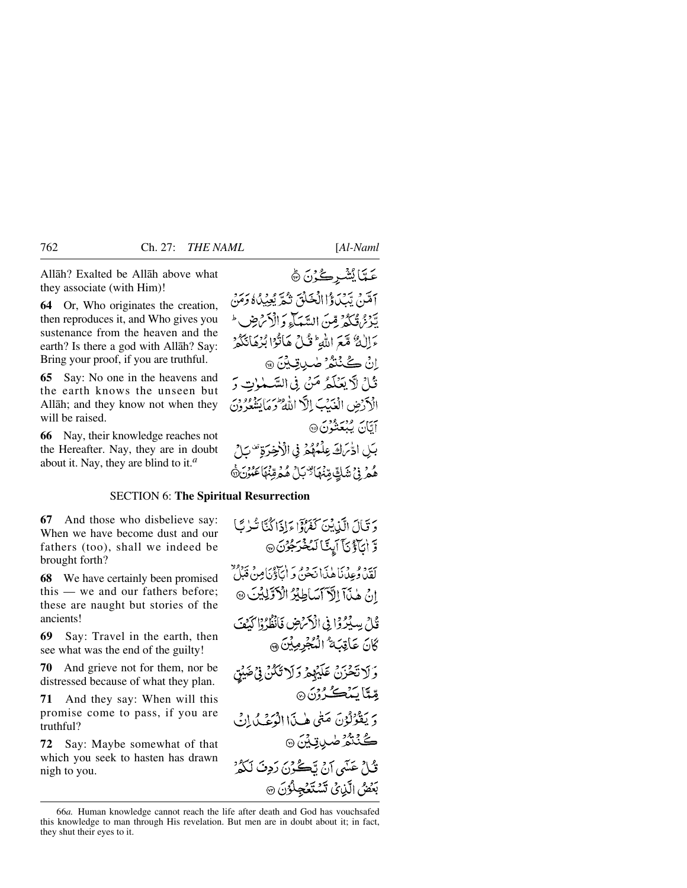Allåh? Exalted be Allåh above what they associate (with Him)!

**64** Or, Who originates the creation, then reproduces it, and Who gives you sustenance from the heaven and the earth? Is there a god with Allåh? Say: Bring your proof, if you are truthful.

**65** Say: No one in the heavens and the earth knows the unseen but Allåh; and they know not when they will be raised.

**66** Nay, their knowledge reaches not the Hereafter. Nay, they are in doubt about it. Nay, they are blind to it.*<sup>a</sup>*

عَمَّا يُشْرِكُوْنَ ۞

آمَّينَ يَبْيِكَ وُاالْحَلْقَ نَيْجٌ يُعِبِيكُا وَمَنْ تَدْمِ فَيْكُمْ مِّينَ السَّبَيِّكَ وَالْأَمْ ضِ ۖ ءَالِكَ مَّعَ اللَّهِ ۚ قُلْ هَاتُوْا بُرُهَانَكُمْ اِنْ كُنْتُمُ ضَٰبِيقِيْنَ ۞ قُلْ لَّا يَعْلَمُ مَنْ فِي السَّمْوٰتِ وَ الْأَرْضِ الْغَبَٰبَ إِلَّا اللَّهِ تَرْمَا يَنْعُوهُ فِنَ آيَّانَ يُبْعَثُونَ® بَلِ ادْْرَكَ عِلْمُهُمْ فِي الْأَخِرَةِ ۚ يَا هُمْ فِي شَكِّ مِّنْهَاتٌ بَلْ هُمُوِّنَّهَا عَبُوْنَ ۞

### SECTION 6: **The Spiritual Resurrection**

**67** And those who disbelieve say: When we have become dust and our fathers (too), shall we indeed be brought forth?

**68** We have certainly been promised this — we and our fathers before; these are naught but stories of the ancients!

**69** Say: Travel in the earth, then see what was the end of the guilty!

**70** And grieve not for them, nor be distressed because of what they plan.

**71** And they say: When will this promise come to pass, if you are truthful?

**72** Say: Maybe somewhat of that which you seek to hasten has drawn nigh to you.

دَ قَبَالَ الَّيْدِينَ كَفَرُوْا مَاذَا كُنَّا تُبْرِ بِّيَا وَّ أَيَآؤُنَّ أَيِثَّا لَمُخْرَجُوْنَ ۞ يبيرد وعدْنَاهٰذَا نَحْنٌ دَ اٰيَآؤُيَامِنْ قَبْلُ انْ هٰذَآ اِلْاَّآسَاطِيْرُ الْآوَّلِيْنَ ۞ قُاحُ سِيْدُوْا فِي الْأَحْرَضِ فَأَنْظُرُوْا كَيْفَ كَانَ عَاقِبَةُ الْمُجْرِمِيْنَ ٢ وَلَا تَحْزَنْ عَلَيْهِمْ وَلَا تَكُنْ فِي ضَيْق مِّيَّا سَدْڪُرُونَ هِ وَ يَقْوَلُوْنَ مَتَى هٰذَا الْوَعْبِيُ إِنِّي ڪُنُنگُرُ *طُبري ٿِينَ ۞* نَگَ\ثِمْ عَيْنَهِي آنُ تَڪُوْنُ رَدِفَ لَيْكُوْ' بَعْضُ الَّذِينَ تَسْتَعْجِلُوْنَ ۞

<sup>66</sup>*a.* Human knowledge cannot reach the life after death and God has vouchsafed this knowledge to man through His revelation. But men are in doubt about it; in fact, they shut their eyes to it.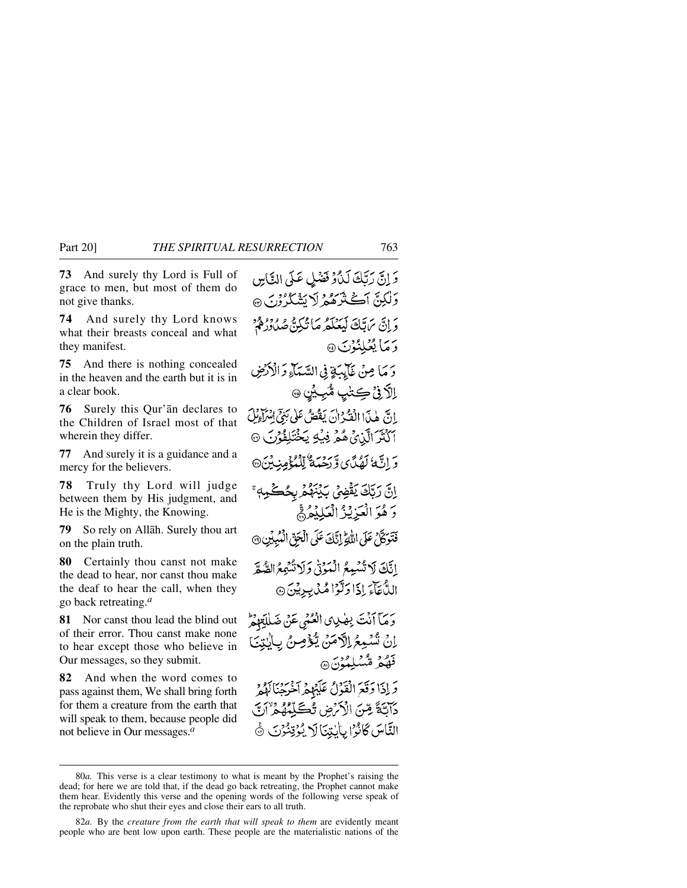**73** And surely thy Lord is Full of grace to men, but most of them do not give thanks.

**74** And surely thy Lord knows what their breasts conceal and what they manifest.

**75** And there is nothing concealed in the heaven and the earth but it is in a clear book.

**76** Surely this Qur'ån declares to the Children of Israel most of that wherein they differ.

**77** And surely it is a guidance and a mercy for the believers.

**78** Truly thy Lord will judge between them by His judgment, and He is the Mighty, the Knowing.

**79** So rely on Allåh. Surely thou art on the plain truth.

**80** Certainly thou canst not make the dead to hear, nor canst thou make the deaf to hear the call, when they go back retreating.*<sup>a</sup>*

**81** Nor canst thou lead the blind out of their error. Thou canst make none to hear except those who believe in Our messages, so they submit.

**82** And when the word comes to pass against them, We shall bring forth for them a creature from the earth that will speak to them, because people did not believe in Our messages.*<sup>a</sup>*

وَ إِنَّ دَتَكَ لَنْݣُوْفَضْلِي عَلَى التَّامِينِ وَلْكِنَّ أَڪْثَرَهُمْ لَا يَشْكُرُوْنَ ۞ وَ إِنَّ يَرَبَّكَ لَيَعْلَمُ مَا تُكِنُّ صَلَّادِرٌ ﴾ **وَمَا يُعْلِئُوْنَ@** دَ مَا مِنْ غَامِدَةٍ فِي السَّيِّبَاءِ وَالْأَرْضِ الآرٽي ڪِتٺپ هُيِــيُنِ ۞ إِنَّ هٰذَا الْفَيْرَ إِنَّ يَقْصَ عَلَى بَنِيٍّ إِسْرَاءِكُنَّ آَكْتُرَ الَّذِيُّ هُمْ فِيْهِ يَخْتَلِفُوْنَ ۞ وَ اتَّ مُا لَمْدًى وَ دَحْيَةٌ لِّلْمُؤْمِنِيْنَ۞ اِنَّ رَبَّكَ يَقْضِيُ بَيْنَهُمْ بِحُكَمِ دَ هُوَ الْعَزِيْزُ الْعَلِيْمُ ﴾ فَتَوَكَّلْ عَلَى اللَّهِ إِنَّكَ عَلَى الْجَنَّ الْمُبِيْنِ ۞ إِنَّكَ لَا تُسْبِعُ الْمَوْتِي وَلَا تُنْهِعُ الصَّعَ اللَّاعَاءَ إِذَا دَلَّوْا مُدْبِبِرِيْنَ۞ وَمَآ أَنَّتَ بِهٰذِى الْعُنِي عَنْ ضَلَلَتِهِمْ اِنْ شُّنْبِعُ اِلْأَمَنِّ يُّؤْمِنُ بِالْتِيَا فَهُمْ مُسْلِمُوْنَ@ وَ إِذَا دَقَعَ الْقَدَّامُ عَلَيْهِمْ آخَرْجَنَاكُهُ دَآتَةً مِيْنَ الْأَرْضِ تُكَلَّدُهُمْ أَرَبَّ التَّاسَ كَانْزَا بِأَنْتِنَا لَا يُؤْتِنُوْنَ

<sup>80</sup>*a.* This verse is a clear testimony to what is meant by the Prophet's raising the dead; for here we are told that, if the dead go back retreating, the Prophet cannot make them hear. Evidently this verse and the opening words of the following verse speak of the reprobate who shut their eyes and close their ears to all truth.

<sup>82</sup>*a.* By the *creature from the earth that will speak to them* are evidently meant people who are bent low upon earth. These people are the materialistic nations of the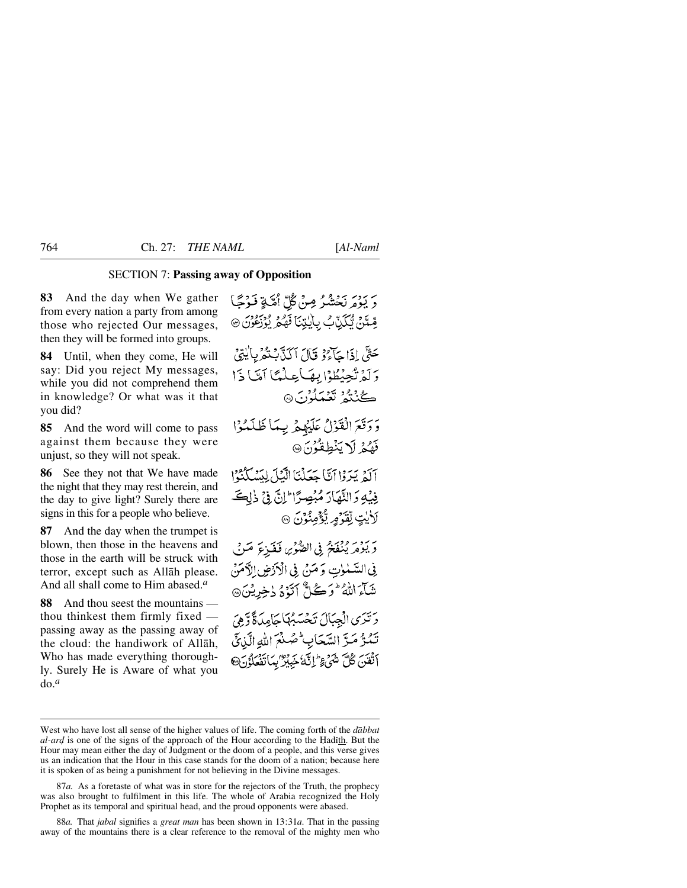# SECTION 7: **Passing away of Opposition**

**83** And the day when We gather from every nation a party from among those who rejected Our messages, then they will be formed into groups.

**84** Until, when they come, He will say: Did you reject My messages, while you did not comprehend them in knowledge? Or what was it that you did?

**85** And the word will come to pass against them because they were unjust, so they will not speak.

**86** See they not that We have made the night that they may rest therein, and the day to give light? Surely there are signs in this for a people who believe.

**87** And the day when the trumpet is blown, then those in the heavens and those in the earth will be struck with terror, except such as Allåh please. And all shall come to Him abased.*<sup>a</sup>*

**88** And thou seest the mountains thou thinkest them firmly fixed passing away as the passing away of the cloud: the handiwork of Allåh, Who has made everything thoroughly. Surely He is Aware of what you do.*<sup>a</sup>*

بَرِّ بِرَمَ نَحْشُرُ مِنْ كُلَّ أُمَّةٍ فَبِرْجًا قِيَّةً فَيَكَذَّبُ بِايْتِنَا فَهُمْ يُوْنَعُنَ ۞ حَقَّى إِذَا جَآءُ ۚ قَالَ ٱكَذَّبِنَّهُمۡ بِٱلْتِيۡ دَ لَّهۡ تُحِیۡطُوۡٗ ٰ بِهَـاٰعِلَٰہٗٓیَا اَمَّا ذَا ڪُنٽُ تَعَمَلُونَ® وَوَقَعَ الْقَوْلُ عَلَيْهِمْ بِيمَا ظَلَمْوُا فَقُدْ لَا يَنْطِقُوْنَ ۞ آلَهُ يَرَدُّا آتَا جَعَلْنَا الَّذِلَ لِيَسْكُنُوا فِيْهِ وَالنَّهَارَ مُّبْصِرًا ۚ إِنَّ فِي ذَٰلِكَ لَأَيْتٍ لِّقَوْمٍ يُؤْمِنُوْنَ ۞ رَ يَوْمَ يُنْفَخُ فِي الصُّوْمِ فَقَرْعَ مَنْ فِي السَّمْلِتِ وَمَنْ فِي الْأَرْضِ اِلْأَهْلَىٰ شَآءَ اللَّهُ ۖ وَكُلُّ أَتَوْهُ دٰخِرِيْنَ۞ دَ تَدَى الْجِبَالَ تَحْسَبُهْاَ جَامِدَةً وَهِيَ تَمُرُّ مَرَّ السَّحَابِ هُمُنْعَ اللهِ الَّذِيَّ اَنْقَنَ كُلَّ شَيْءٍ إِنَّهَ خَبِيْرٌ بِمَاتَفَعَلُوْنَ @

87*a.* As a foretaste of what was in store for the rejectors of the Truth, the prophecy was also brought to fulfilment in this life. The whole of Arabia recognized the Holy Prophet as its temporal and spiritual head, and the proud opponents were abased.

88*a.* That *jabal* signifies a *great man* has been shown in 13:31*a*. That in the passing away of the mountains there is a clear reference to the removal of the mighty men who

West who have lost all sense of the higher values of life. The coming forth of the *dåbbat al-ard* is one of the signs of the approach of the Hour according to the Hadith. But the Hour may mean either the day of Judgment or the doom of a people, and this verse gives us an indication that the Hour in this case stands for the doom of a nation; because here it is spoken of as being a punishment for not believing in the Divine messages.